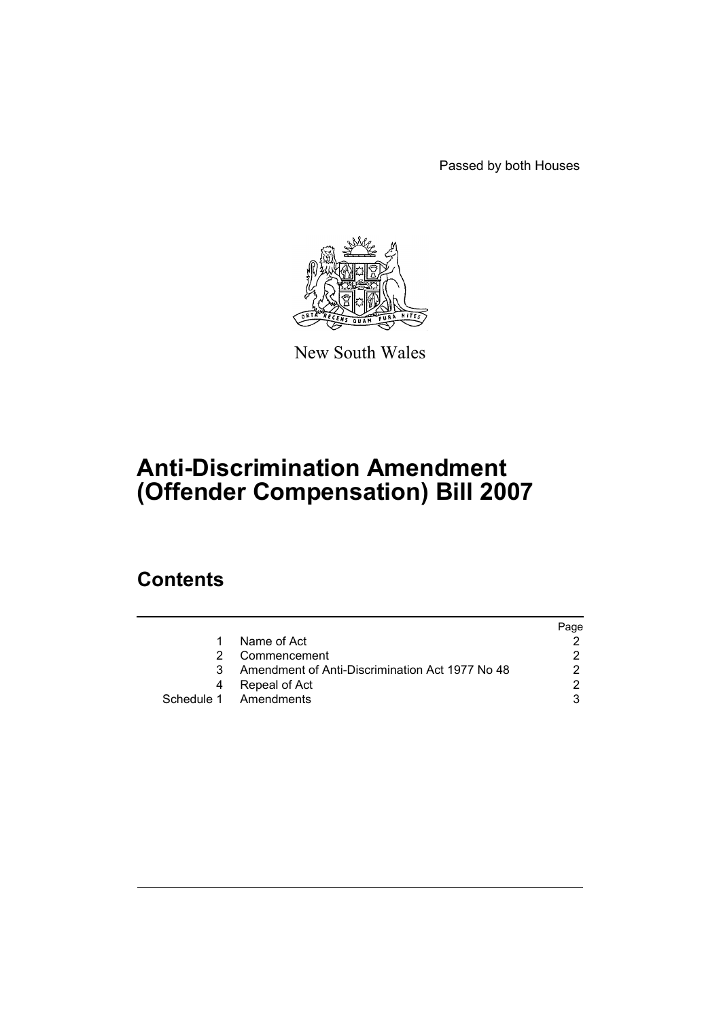Passed by both Houses



New South Wales

# **Anti-Discrimination Amendment (Offender Compensation) Bill 2007**

## **Contents**

|                                                 | Page |
|-------------------------------------------------|------|
| Name of Act                                     |      |
| Commencement                                    |      |
| Amendment of Anti-Discrimination Act 1977 No 48 | ົ    |
| Repeal of Act                                   |      |
| Schedule 1 Amendments                           |      |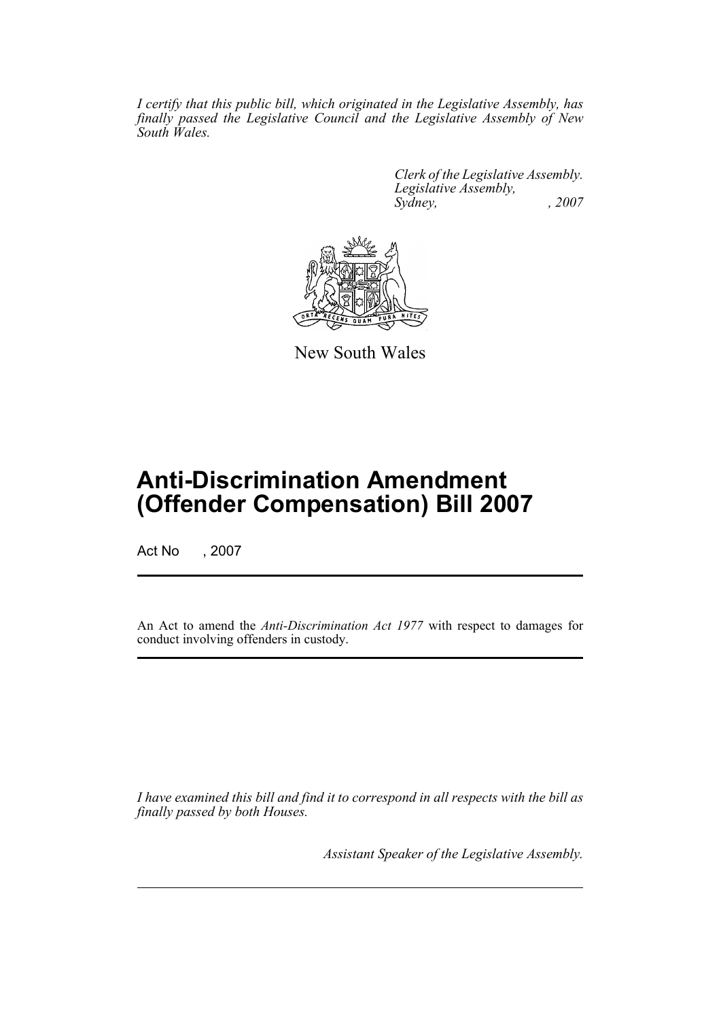*I certify that this public bill, which originated in the Legislative Assembly, has finally passed the Legislative Council and the Legislative Assembly of New South Wales.*

> *Clerk of the Legislative Assembly. Legislative Assembly, Sydney, , 2007*



New South Wales

## **Anti-Discrimination Amendment (Offender Compensation) Bill 2007**

Act No , 2007

An Act to amend the *Anti-Discrimination Act 1977* with respect to damages for conduct involving offenders in custody.

*I have examined this bill and find it to correspond in all respects with the bill as finally passed by both Houses.*

*Assistant Speaker of the Legislative Assembly.*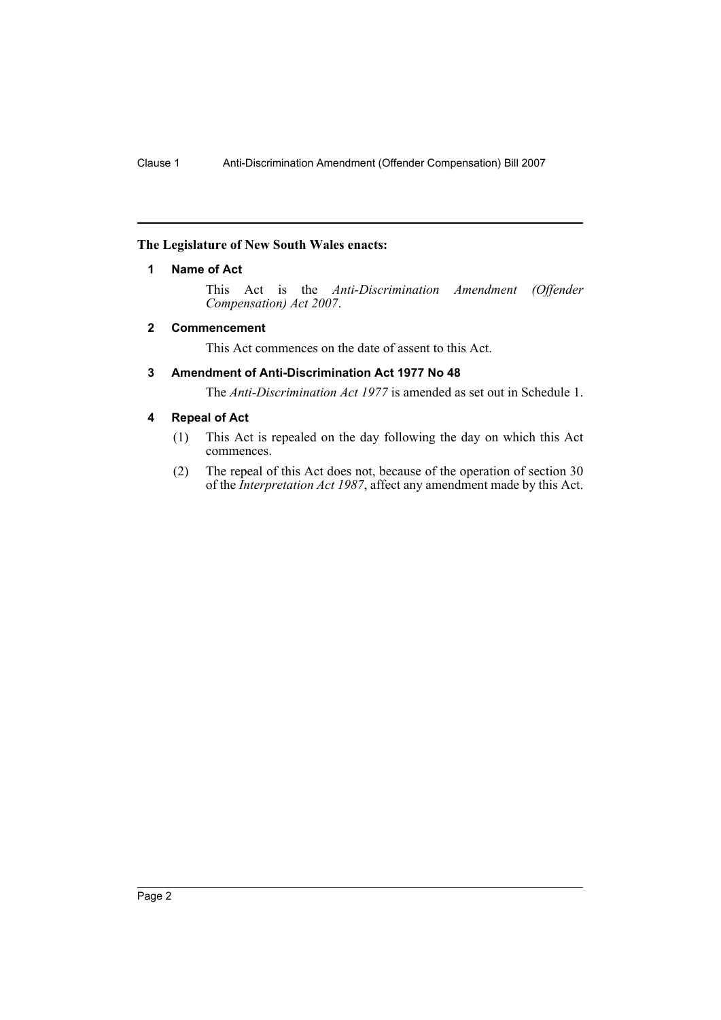#### <span id="page-2-0"></span>**The Legislature of New South Wales enacts:**

#### **1 Name of Act**

This Act is the *Anti-Discrimination Amendment (Offender Compensation) Act 2007*.

#### <span id="page-2-1"></span>**2 Commencement**

This Act commences on the date of assent to this Act.

#### <span id="page-2-2"></span>**3 Amendment of Anti-Discrimination Act 1977 No 48**

The *Anti-Discrimination Act 1977* is amended as set out in Schedule 1.

#### <span id="page-2-3"></span>**4 Repeal of Act**

- (1) This Act is repealed on the day following the day on which this Act commences.
- (2) The repeal of this Act does not, because of the operation of section 30 of the *Interpretation Act 1987*, affect any amendment made by this Act.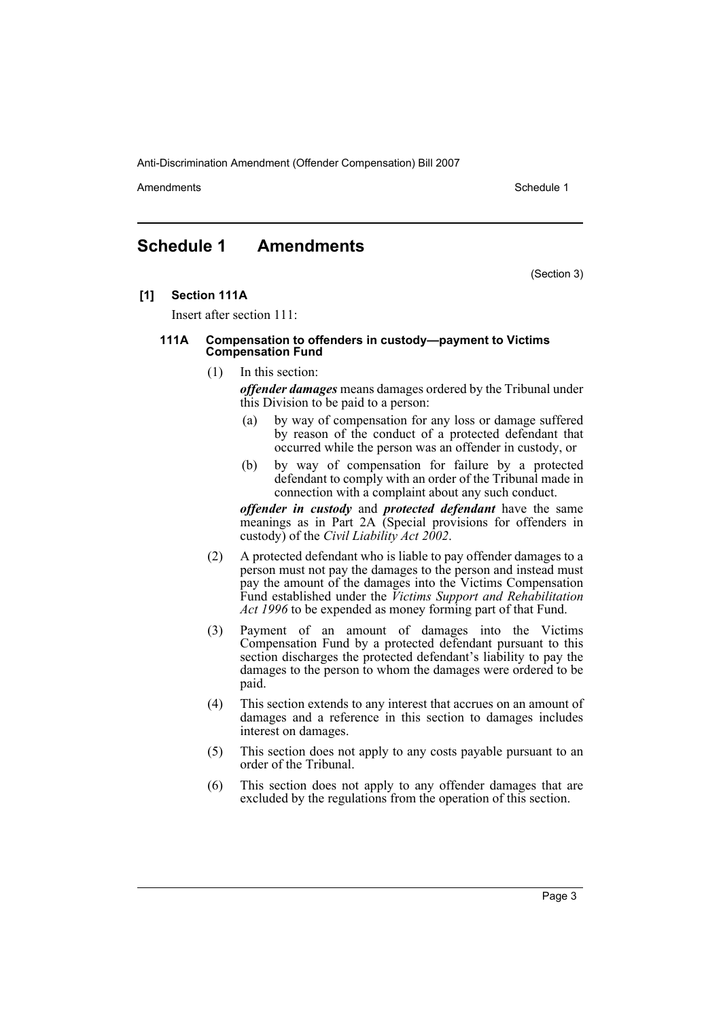Anti-Discrimination Amendment (Offender Compensation) Bill 2007

Amendments **Amendments** Schedule 1

### <span id="page-3-0"></span>**Schedule 1 Amendments**

(Section 3)

**[1] Section 111A**

Insert after section 111:

#### **111A Compensation to offenders in custody—payment to Victims Compensation Fund**

(1) In this section:

*offender damages* means damages ordered by the Tribunal under this Division to be paid to a person:

- (a) by way of compensation for any loss or damage suffered by reason of the conduct of a protected defendant that occurred while the person was an offender in custody, or
- (b) by way of compensation for failure by a protected defendant to comply with an order of the Tribunal made in connection with a complaint about any such conduct.

*offender in custody* and *protected defendant* have the same meanings as in Part 2A (Special provisions for offenders in custody) of the *Civil Liability Act 2002*.

- (2) A protected defendant who is liable to pay offender damages to a person must not pay the damages to the person and instead must pay the amount of the damages into the Victims Compensation Fund established under the *Victims Support and Rehabilitation Act 1996* to be expended as money forming part of that Fund.
- (3) Payment of an amount of damages into the Victims Compensation Fund by a protected defendant pursuant to this section discharges the protected defendant's liability to pay the damages to the person to whom the damages were ordered to be paid.
- (4) This section extends to any interest that accrues on an amount of damages and a reference in this section to damages includes interest on damages.
- (5) This section does not apply to any costs payable pursuant to an order of the Tribunal.
- (6) This section does not apply to any offender damages that are excluded by the regulations from the operation of this section.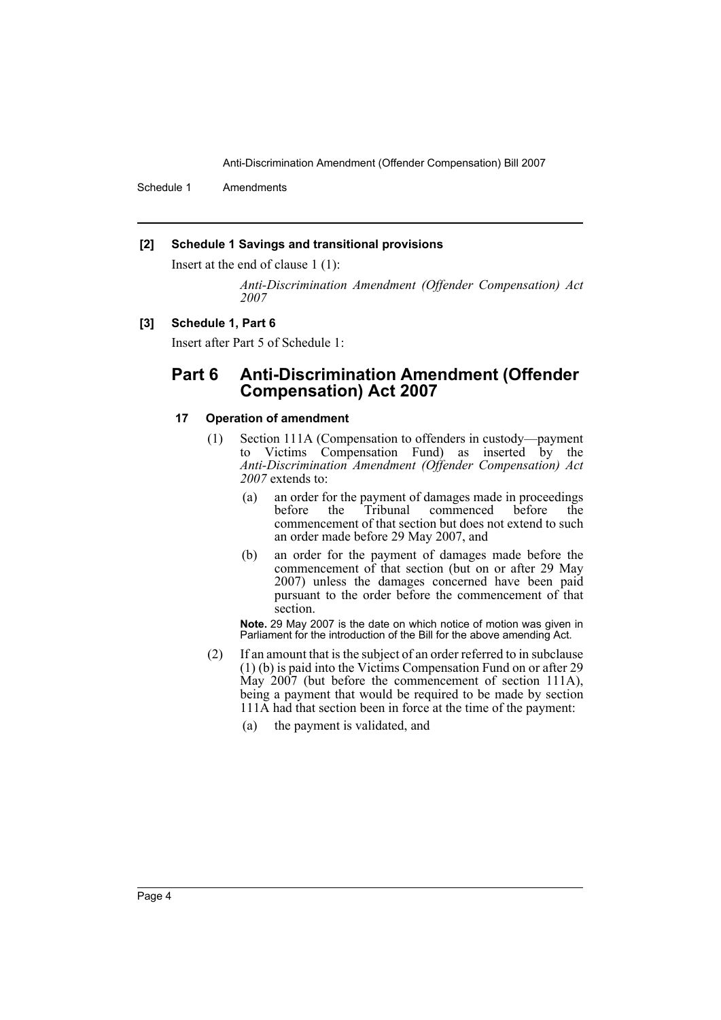Anti-Discrimination Amendment (Offender Compensation) Bill 2007

Schedule 1 Amendments

#### **[2] Schedule 1 Savings and transitional provisions**

Insert at the end of clause 1 (1):

*Anti-Discrimination Amendment (Offender Compensation) Act 2007*

#### **[3] Schedule 1, Part 6**

Insert after Part 5 of Schedule 1:

### **Part 6 Anti-Discrimination Amendment (Offender Compensation) Act 2007**

#### **17 Operation of amendment**

- (1) Section 111A (Compensation to offenders in custody—payment to Victims Compensation Fund) as inserted by the *Anti-Discrimination Amendment (Offender Compensation) Act 2007* extends to:
	- (a) an order for the payment of damages made in proceedings before the Tribunal commenced before the before the Tribunal commenced before the commencement of that section but does not extend to such an order made before 29 May 2007, and
	- (b) an order for the payment of damages made before the commencement of that section (but on or after 29 May 2007) unless the damages concerned have been paid pursuant to the order before the commencement of that section.

**Note.** 29 May 2007 is the date on which notice of motion was given in Parliament for the introduction of the Bill for the above amending Act.

- (2) If an amount that is the subject of an order referred to in subclause (1) (b) is paid into the Victims Compensation Fund on or after 29 May 2007 (but before the commencement of section 111A), being a payment that would be required to be made by section 111A had that section been in force at the time of the payment:
	- (a) the payment is validated, and